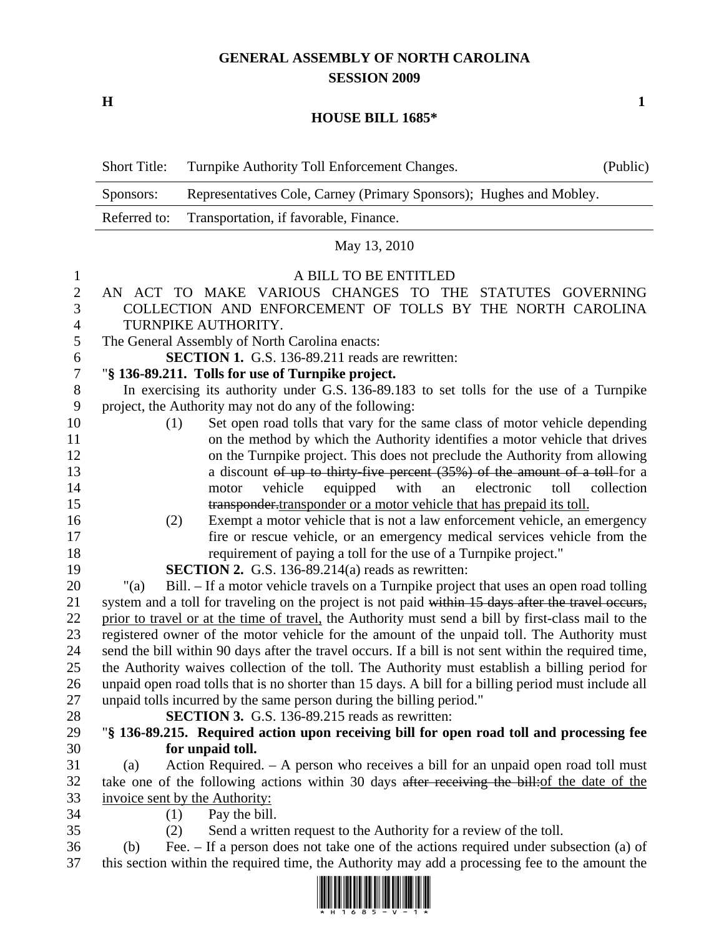## **GENERAL ASSEMBLY OF NORTH CAROLINA SESSION 2009**

**H** 1

## **HOUSE BILL 1685\***

|                  | <b>Short Title:</b>                                                                                                                                        | Turnpike Authority Toll Enforcement Changes.                                                       | (Public) |  |
|------------------|------------------------------------------------------------------------------------------------------------------------------------------------------------|----------------------------------------------------------------------------------------------------|----------|--|
|                  | Representatives Cole, Carney (Primary Sponsors); Hughes and Mobley.<br>Sponsors:                                                                           |                                                                                                    |          |  |
|                  | Referred to:<br>Transportation, if favorable, Finance.                                                                                                     |                                                                                                    |          |  |
|                  | May 13, 2010                                                                                                                                               |                                                                                                    |          |  |
| $\mathbf{1}$     | A BILL TO BE ENTITLED                                                                                                                                      |                                                                                                    |          |  |
| $\overline{c}$   | AN ACT TO MAKE VARIOUS CHANGES TO THE STATUTES GOVERNING                                                                                                   |                                                                                                    |          |  |
| 3                | COLLECTION AND ENFORCEMENT OF TOLLS BY THE NORTH CAROLINA                                                                                                  |                                                                                                    |          |  |
| $\overline{4}$   | TURNPIKE AUTHORITY.                                                                                                                                        |                                                                                                    |          |  |
| 5                | The General Assembly of North Carolina enacts:                                                                                                             |                                                                                                    |          |  |
| 6                | <b>SECTION 1.</b> G.S. 136-89.211 reads are rewritten:                                                                                                     |                                                                                                    |          |  |
| $\boldsymbol{7}$ | "§ 136-89.211. Tolls for use of Turnpike project.                                                                                                          |                                                                                                    |          |  |
| $8\,$            | In exercising its authority under G.S. 136-89.183 to set tolls for the use of a Turnpike                                                                   |                                                                                                    |          |  |
| 9                | project, the Authority may not do any of the following:                                                                                                    |                                                                                                    |          |  |
| 10               | Set open road tolls that vary for the same class of motor vehicle depending<br>(1)                                                                         |                                                                                                    |          |  |
| 11               | on the method by which the Authority identifies a motor vehicle that drives<br>on the Turnpike project. This does not preclude the Authority from allowing |                                                                                                    |          |  |
| 12<br>13         | a discount of up to thirty-five percent $(35%)$ of the amount of a toll-for a                                                                              |                                                                                                    |          |  |
| 14               | with<br>vehicle<br>equipped<br>an<br>electronic<br>toll<br>motor<br>collection                                                                             |                                                                                                    |          |  |
| 15               |                                                                                                                                                            | transponder-transponder or a motor vehicle that has prepaid its toll.                              |          |  |
| 16               | (2)                                                                                                                                                        | Exempt a motor vehicle that is not a law enforcement vehicle, an emergency                         |          |  |
| 17               |                                                                                                                                                            | fire or rescue vehicle, or an emergency medical services vehicle from the                          |          |  |
| 18               |                                                                                                                                                            | requirement of paying a toll for the use of a Turnpike project."                                   |          |  |
| 19               | <b>SECTION 2.</b> G.S. 136-89.214(a) reads as rewritten:                                                                                                   |                                                                                                    |          |  |
| 20               | "(a)                                                                                                                                                       | Bill. – If a motor vehicle travels on a Turnpike project that uses an open road tolling            |          |  |
| 21               |                                                                                                                                                            | system and a toll for traveling on the project is not paid within 15 days after the travel occurs, |          |  |
| 22               | prior to travel or at the time of travel, the Authority must send a bill by first-class mail to the                                                        |                                                                                                    |          |  |
| 23               | registered owner of the motor vehicle for the amount of the unpaid toll. The Authority must                                                                |                                                                                                    |          |  |
| 24               | send the bill within 90 days after the travel occurs. If a bill is not sent within the required time,                                                      |                                                                                                    |          |  |
| 25               | the Authority waives collection of the toll. The Authority must establish a billing period for                                                             |                                                                                                    |          |  |
| 26               | unpaid open road tolls that is no shorter than 15 days. A bill for a billing period must include all                                                       |                                                                                                    |          |  |
| 27               |                                                                                                                                                            | unpaid tolls incurred by the same person during the billing period."                               |          |  |
| 28               |                                                                                                                                                            | <b>SECTION 3.</b> G.S. 136-89.215 reads as rewritten:                                              |          |  |
| 29               |                                                                                                                                                            | "§ 136-89.215. Required action upon receiving bill for open road toll and processing fee           |          |  |
| 30               |                                                                                                                                                            | for unpaid toll.                                                                                   |          |  |
| 31               | (a)                                                                                                                                                        | Action Required. $-$ A person who receives a bill for an unpaid open road toll must                |          |  |
| 32               |                                                                                                                                                            | take one of the following actions within 30 days after receiving the bill: of the date of the      |          |  |
| 33               |                                                                                                                                                            | invoice sent by the Authority:                                                                     |          |  |
| 34               | (1)                                                                                                                                                        | Pay the bill.                                                                                      |          |  |
| 35               | (2)                                                                                                                                                        | Send a written request to the Authority for a review of the toll.                                  |          |  |
| 36<br>37         | (b)                                                                                                                                                        | Fee. $-$ If a person does not take one of the actions required under subsection (a) of             |          |  |
|                  | this section within the required time, the Authority may add a processing fee to the amount the                                                            |                                                                                                    |          |  |

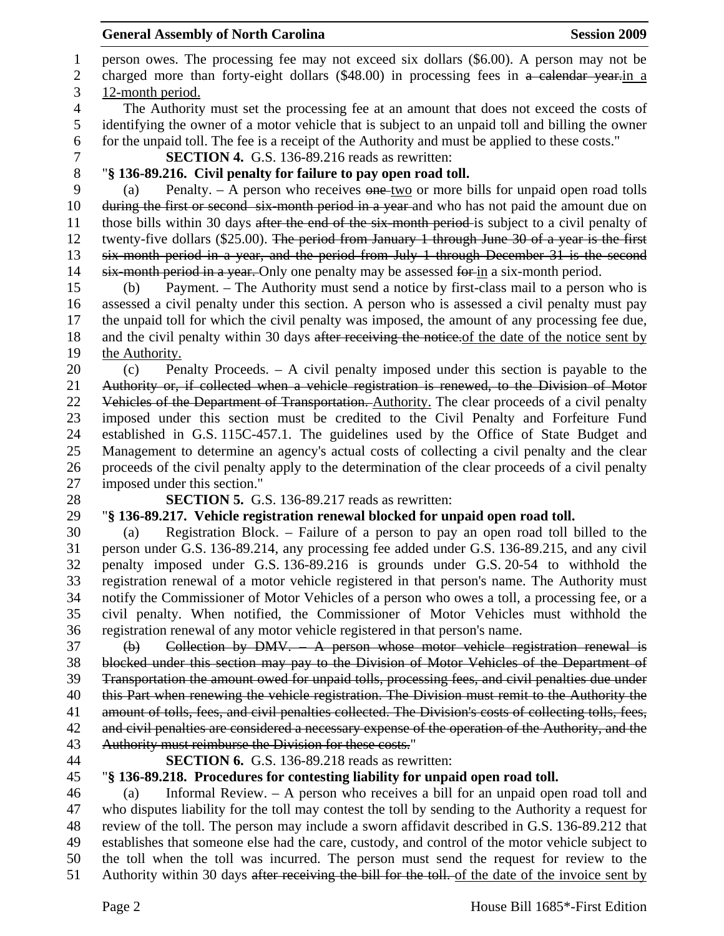1 person owes. The processing fee may not exceed six dollars (\$6.00). A person may not be 2 charged more than forty-eight dollars (\$48.00) in processing fees in a calendar year-in a 3 12-month period. 4 The Authority must set the processing fee at an amount that does not exceed the costs of 5 identifying the owner of a motor vehicle that is subject to an unpaid toll and billing the owner 6 for the unpaid toll. The fee is a receipt of the Authority and must be applied to these costs." 7 **SECTION 4.** G.S. 136-89.216 reads as rewritten: 8 "**§ 136-89.216. Civil penalty for failure to pay open road toll.**  9 (a) Penalty. – A person who receives  $\theta$  one-two or more bills for unpaid open road tolls 10 during the first or second six-month period in a year-and who has not paid the amount due on 11 those bills within 30 days after the end of the six-month period-is subject to a civil penalty of 12 twenty-five dollars (\$25.00). The period from January 1 through June 30 of a year is the first 13 six-month period in a year, and the period from July 1 through December 31 is the second

14 six-month period in a year. Only one penalty may be assessed for in a six-month period.

15 (b) Payment. – The Authority must send a notice by first-class mail to a person who is 16 assessed a civil penalty under this section. A person who is assessed a civil penalty must pay 17 the unpaid toll for which the civil penalty was imposed, the amount of any processing fee due, 18 and the civil penalty within 30 days after receiving the notice of the date of the notice sent by 19 the Authority.

20 (c) Penalty Proceeds. – A civil penalty imposed under this section is payable to the 21 Authority or, if collected when a vehicle registration is renewed, to the Division of Motor 22 Vehicles of the Department of Transportation. Authority. The clear proceeds of a civil penalty 23 imposed under this section must be credited to the Civil Penalty and Forfeiture Fund 24 established in G.S. 115C-457.1. The guidelines used by the Office of State Budget and 25 Management to determine an agency's actual costs of collecting a civil penalty and the clear 26 proceeds of the civil penalty apply to the determination of the clear proceeds of a civil penalty 27 imposed under this section."

- 
- 
- 
- 
- 

28 **SECTION 5.** G.S. 136-89.217 reads as rewritten:

## 29 "**§ 136-89.217. Vehicle registration renewal blocked for unpaid open road toll.**

30 (a) Registration Block. – Failure of a person to pay an open road toll billed to the 31 person under G.S. 136-89.214, any processing fee added under G.S. 136-89.215, and any civil 32 penalty imposed under G.S. 136-89.216 is grounds under G.S. 20-54 to withhold the 33 registration renewal of a motor vehicle registered in that person's name. The Authority must 34 notify the Commissioner of Motor Vehicles of a person who owes a toll, a processing fee, or a 35 civil penalty. When notified, the Commissioner of Motor Vehicles must withhold the 36 registration renewal of any motor vehicle registered in that person's name.

37 (b) Collection by DMV. – A person whose motor vehicle registration renewal is 38 blocked under this section may pay to the Division of Motor Vehicles of the Department of 39 Transportation the amount owed for unpaid tolls, processing fees, and civil penalties due under 40 this Part when renewing the vehicle registration. The Division must remit to the Authority the 41 amount of tolls, fees, and civil penalties collected. The Division's costs of collecting tolls, fees, 42 and civil penalties are considered a necessary expense of the operation of the Authority, and the 43 Authority must reimburse the Division for these costs."

44 **SECTION 6.** G.S. 136-89.218 reads as rewritten:

## 45 "**§ 136-89.218. Procedures for contesting liability for unpaid open road toll.**

46 (a) Informal Review. – A person who receives a bill for an unpaid open road toll and 47 who disputes liability for the toll may contest the toll by sending to the Authority a request for 48 review of the toll. The person may include a sworn affidavit described in G.S. 136-89.212 that 49 establishes that someone else had the care, custody, and control of the motor vehicle subject to 50 the toll when the toll was incurred. The person must send the request for review to the 51 Authority within 30 days after receiving the bill for the toll. of the date of the invoice sent by